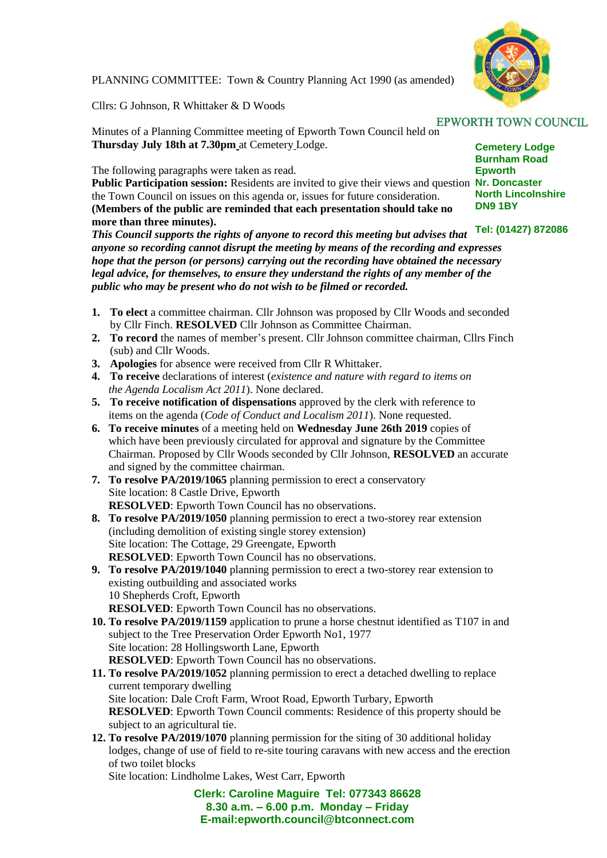

PLANNING COMMITTEE: Town & Country Planning Act 1990 (as amended)

Cllrs: G Johnson, R Whittaker & D Woods

Minutes of a Planning Committee meeting of Epworth Town Council held on **Thursday July 18th at 7.30pm** at Cemetery Lodge.

The following paragraphs were taken as read.

Public Participation session: Residents are invited to give their views and question Nr. Doncaster the Town Council on issues on this agenda or, issues for future consideration. **(Members of the public are reminded that each presentation should take no more than three minutes).**

*This Council supports the rights of anyone to record this meeting but advises that anyone so recording cannot disrupt the meeting by means of the recording and expresses hope that the person (or persons) carrying out the recording have obtained the necessary legal advice, for themselves, to ensure they understand the rights of any member of the public who may be present who do not wish to be filmed or recorded.*

- **1. To elect** a committee chairman. Cllr Johnson was proposed by Cllr Woods and seconded by Cllr Finch. **RESOLVED** Cllr Johnson as Committee Chairman.
- **2. To record** the names of member's present. Cllr Johnson committee chairman, Cllrs Finch (sub) and Cllr Woods.
- **3. Apologies** for absence were received from Cllr R Whittaker.
- **4. To receive** declarations of interest (*existence and nature with regard to items on the Agenda Localism Act 2011*). None declared.
- **5. To receive notification of dispensations** approved by the clerk with reference to items on the agenda (*Code of Conduct and Localism 2011*). None requested.
- **6. To receive minutes** of a meeting held on **Wednesday June 26th 2019** copies of which have been previously circulated for approval and signature by the Committee Chairman. Proposed by Cllr Woods seconded by Cllr Johnson, **RESOLVED** an accurate and signed by the committee chairman.
- **7. To resolve PA/2019/1065** planning permission to erect a conservatory Site location: 8 Castle Drive, Epworth **RESOLVED**: Epworth Town Council has no observations.
- **8. To resolve PA/2019/1050** planning permission to erect a two-storey rear extension (including demolition of existing single storey extension) Site location: The Cottage, 29 Greengate, Epworth **RESOLVED**: Epworth Town Council has no observations.
- **9. To resolve PA/2019/1040** planning permission to erect a two-storey rear extension to existing outbuilding and associated works 10 Shepherds Croft, Epworth **RESOLVED**: Epworth Town Council has no observations.
- **10. To resolve PA/2019/1159** application to prune a horse chestnut identified as T107 in and subject to the Tree Preservation Order Epworth No1, 1977 Site location: 28 Hollingsworth Lane, Epworth **RESOLVED**: Epworth Town Council has no observations.
- **11. To resolve PA/2019/1052** planning permission to erect a detached dwelling to replace current temporary dwelling Site location: Dale Croft Farm, Wroot Road, Epworth Turbary, Epworth **RESOLVED**: Epworth Town Council comments: Residence of this property should be subject to an agricultural tie.
- **12. To resolve PA/2019/1070** planning permission for the siting of 30 additional holiday lodges, change of use of field to re-site touring caravans with new access and the erection of two toilet blocks

Site location: Lindholme Lakes, West Carr, Epworth

**Clerk: Caroline Maguire Tel: 077343 86628 8.30 a.m. – 6.00 p.m. Monday – Friday E-mail:epworth.council@btconnect.com**

**Cemetery Lodge Burnham Road Epworth North Lincolnshire DN9 1BY**

## **Tel: (01427) 872086**